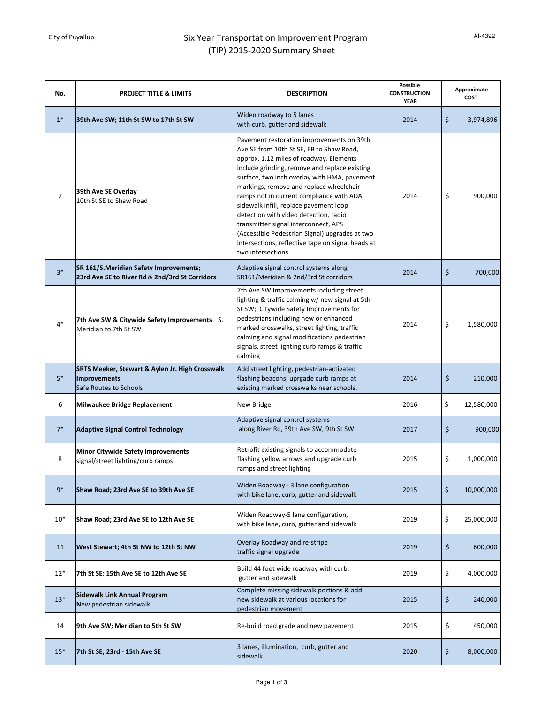## City of Puyallup **Six Year Transportation Improvement Program** (TIP) 2015-2020 Summary Sheet

| No.            | <b>PROJECT TITLE &amp; LIMITS</b>                                                         | <b>DESCRIPTION</b>                                                                                                                                                                                                                                                                                                                                                                                                                                                                                                                                                                | <b>Possible</b><br><b>CONSTRUCTION</b><br><b>YEAR</b> | Approximate<br><b>COST</b> |            |
|----------------|-------------------------------------------------------------------------------------------|-----------------------------------------------------------------------------------------------------------------------------------------------------------------------------------------------------------------------------------------------------------------------------------------------------------------------------------------------------------------------------------------------------------------------------------------------------------------------------------------------------------------------------------------------------------------------------------|-------------------------------------------------------|----------------------------|------------|
| $1*$           | 39th Ave SW; 11th St SW to 17th St SW                                                     | Widen roadway to 5 lanes<br>with curb, gutter and sidewalk                                                                                                                                                                                                                                                                                                                                                                                                                                                                                                                        | 2014                                                  | \$                         | 3,974,896  |
| $\overline{2}$ | 39th Ave SE Overlay<br>10th St SE to Shaw Road                                            | Pavement restoration improvements on 39th<br>Ave SE from 10th St SE, EB to Shaw Road,<br>approx. 1.12 miles of roadway. Elements<br>include grinding, remove and replace existing<br>surface, two inch overlay with HMA, pavement<br>markings, remove and replace wheelchair<br>ramps not in current compliance with ADA,<br>sidewalk infill, replace pavement loop<br>detection with video detection, radio<br>transmitter signal interconnect, APS<br>(Accessible Pedestrian Signal) upgrades at two<br>intersections, reflective tape on signal heads at<br>two intersections. | 2014                                                  | \$                         | 900,000    |
| $3*$           | SR 161/S.Meridian Safety Improvements;<br>23rd Ave SE to River Rd & 2nd/3rd St Corridors  | Adaptive signal control systems along<br>SR161/Meridian & 2nd/3rd St corridors                                                                                                                                                                                                                                                                                                                                                                                                                                                                                                    | 2014                                                  | \$                         | 700,000    |
| $4*$           | 7th Ave SW & Citywide Safety Improvements S.<br>Meridian to 7th St SW                     | 7th Ave SW Improvements including street<br>lighting & traffic calming w/ new signal at 5th<br>St SW; Citywide Safety Improvements for<br>pedestrians including new or enhanced<br>marked crosswalks, street lighting, traffic<br>calming and signal modifications pedestrian<br>signals, street lighting curb ramps & traffic<br>calming                                                                                                                                                                                                                                         | 2014                                                  | \$                         | 1,580,000  |
| $5*$           | SRTS Meeker, Stewart & Aylen Jr. High Crosswalk<br>Improvements<br>Safe Routes to Schools | Add street lighting, pedestrian-activated<br>flashing beacons, uprgade curb ramps at<br>existing marked crosswalks near schools.                                                                                                                                                                                                                                                                                                                                                                                                                                                  | 2014                                                  | \$                         | 210,000    |
| 6              | Milwaukee Bridge Replacement                                                              | New Bridge                                                                                                                                                                                                                                                                                                                                                                                                                                                                                                                                                                        | 2016                                                  | \$                         | 12,580,000 |
| $7*$           | <b>Adaptive Signal Control Technology</b>                                                 | Adaptive signal control systems<br>along River Rd, 39th Ave SW, 9th St SW                                                                                                                                                                                                                                                                                                                                                                                                                                                                                                         | 2017                                                  | \$                         | 900,000    |
| 8              | <b>Minor Citywide Safety Improvements</b><br>signal/street lighting/curb ramps            | Retrofit existing signals to accommodate<br>flashing yellow arrows and upgrade curb<br>ramps and street lighting                                                                                                                                                                                                                                                                                                                                                                                                                                                                  | 2015                                                  | \$                         | 1,000,000  |
| $9*$           | Shaw Road; 23rd Ave SE to 39th Ave SE                                                     | Widen Roadway - 3 lane configuration<br>with bike lane, curb, gutter and sidewalk                                                                                                                                                                                                                                                                                                                                                                                                                                                                                                 | 2015                                                  | \$                         | 10,000,000 |
| $10*$          | Shaw Road; 23rd Ave SE to 12th Ave SE                                                     | Widen Roadway-5 lane configuration,<br>with bike lane, curb, gutter and sidewalk                                                                                                                                                                                                                                                                                                                                                                                                                                                                                                  | 2019                                                  | \$                         | 25,000,000 |
| 11             | West Stewart; 4th St NW to 12th St NW                                                     | Overlay Roadway and re-stripe<br>traffic signal upgrade                                                                                                                                                                                                                                                                                                                                                                                                                                                                                                                           | 2019                                                  | \$                         | 600,000    |
| $12*$          | 7th St SE; 15th Ave SE to 12th Ave SE                                                     | Build 44 foot wide roadway with curb,<br>gutter and sidewalk                                                                                                                                                                                                                                                                                                                                                                                                                                                                                                                      | 2019                                                  | \$                         | 4,000,000  |
| $13*$          | Sidewalk Link Annual Program<br>New pedestrian sidewalk                                   | Complete missing sidewalk portions & add<br>new sidewalk at various locations for<br>pedestrian movement                                                                                                                                                                                                                                                                                                                                                                                                                                                                          | 2015                                                  | \$                         | 240,000    |
| 14             | 9th Ave SW; Meridian to 5th St SW                                                         | Re-build road grade and new pavement                                                                                                                                                                                                                                                                                                                                                                                                                                                                                                                                              | 2015                                                  | \$                         | 450,000    |
| $15*$          | 7th St SE; 23rd - 15th Ave SE                                                             | 3 lanes, illumination, curb, gutter and<br>sidewalk                                                                                                                                                                                                                                                                                                                                                                                                                                                                                                                               | 2020                                                  | \$                         | 8,000,000  |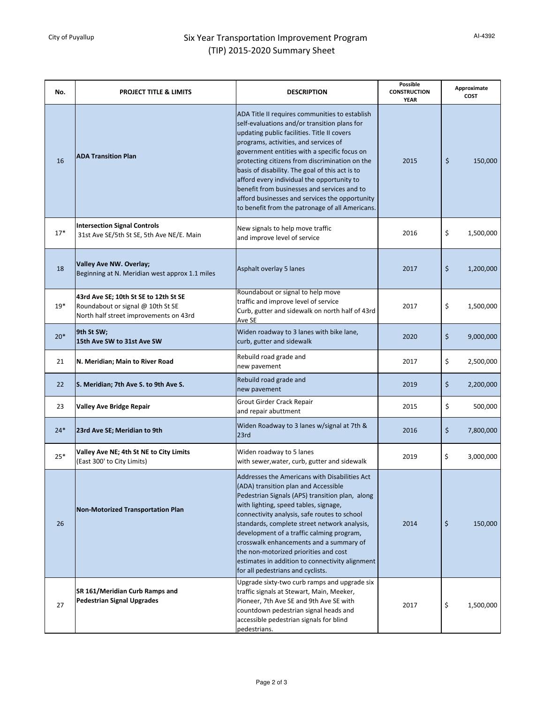## City of Puyallup **Six Year Transportation Improvement Program** (TIP) 2015-2020 Summary Sheet

| No.   | <b>PROJECT TITLE &amp; LIMITS</b>                                                                                    | <b>DESCRIPTION</b>                                                                                                                                                                                                                                                                                                                                                                                                                                                                                                                            | Possible<br><b>CONSTRUCTION</b><br><b>YEAR</b> | Approximate<br><b>COST</b> |           |
|-------|----------------------------------------------------------------------------------------------------------------------|-----------------------------------------------------------------------------------------------------------------------------------------------------------------------------------------------------------------------------------------------------------------------------------------------------------------------------------------------------------------------------------------------------------------------------------------------------------------------------------------------------------------------------------------------|------------------------------------------------|----------------------------|-----------|
| 16    | <b>ADA Transition Plan</b>                                                                                           | ADA Title II requires communities to establish<br>self-evaluations and/or transition plans for<br>updating public facilities. Title II covers<br>programs, activities, and services of<br>government entities with a specific focus on<br>protecting citizens from discrimination on the<br>basis of disability. The goal of this act is to<br>afford every individual the opportunity to<br>benefit from businesses and services and to<br>afford businesses and services the opportunity<br>to benefit from the patronage of all Americans. | 2015                                           | \$                         | 150,000   |
| $17*$ | <b>Intersection Signal Controls</b><br>31st Ave SE/5th St SE, 5th Ave NE/E. Main                                     | New signals to help move traffic<br>and improve level of service                                                                                                                                                                                                                                                                                                                                                                                                                                                                              | 2016                                           | \$                         | 1,500,000 |
| 18    | <b>Valley Ave NW. Overlay;</b><br>Beginning at N. Meridian west approx 1.1 miles                                     | Asphalt overlay 5 lanes                                                                                                                                                                                                                                                                                                                                                                                                                                                                                                                       | 2017                                           | \$                         | 1,200,000 |
| $19*$ | 43rd Ave SE; 10th St SE to 12th St SE<br>Roundabout or signal @ 10th St SE<br>North half street improvements on 43rd | Roundabout or signal to help move<br>traffic and improve level of service<br>Curb, gutter and sidewalk on north half of 43rd<br>Ave SE                                                                                                                                                                                                                                                                                                                                                                                                        | 2017                                           | \$                         | 1,500,000 |
| $20*$ | 9th St SW;<br>15th Ave SW to 31st Ave SW                                                                             | Widen roadway to 3 lanes with bike lane,<br>curb, gutter and sidewalk                                                                                                                                                                                                                                                                                                                                                                                                                                                                         | 2020                                           | \$                         | 9,000,000 |
| 21    | N. Meridian; Main to River Road                                                                                      | Rebuild road grade and<br>new pavement                                                                                                                                                                                                                                                                                                                                                                                                                                                                                                        | 2017                                           | \$                         | 2,500,000 |
| 22    | S. Meridian; 7th Ave S. to 9th Ave S.                                                                                | Rebuild road grade and<br>new pavement                                                                                                                                                                                                                                                                                                                                                                                                                                                                                                        | 2019                                           | \$                         | 2,200,000 |
| 23    | <b>Valley Ave Bridge Repair</b>                                                                                      | Grout Girder Crack Repair<br>and repair abuttment                                                                                                                                                                                                                                                                                                                                                                                                                                                                                             | 2015                                           | \$                         | 500,000   |
| $24*$ | 23rd Ave SE; Meridian to 9th                                                                                         | Widen Roadway to 3 lanes w/signal at 7th &<br>23rd                                                                                                                                                                                                                                                                                                                                                                                                                                                                                            | 2016                                           | \$                         | 7,800,000 |
| $25*$ | Valley Ave NE; 4th St NE to City Limits<br>(East 300' to City Limits)                                                | Widen roadway to 5 lanes<br>with sewer, water, curb, gutter and sidewalk                                                                                                                                                                                                                                                                                                                                                                                                                                                                      | 2019                                           | \$                         | 3,000,000 |
| 26    | <b>Non-Motorized Transportation Plan</b>                                                                             | Addresses the Americans with Disabilities Act<br>(ADA) transition plan and Accessible<br>Pedestrian Signals (APS) transition plan, along<br>with lighting, speed tables, signage,<br>connectivity analysis, safe routes to school<br>standards, complete street network analysis,<br>development of a traffic calming program,<br>crosswalk enhancements and a summary of<br>the non-motorized priorities and cost<br>estimates in addition to connectivity alignment<br>for all pedestrians and cyclists.                                    | 2014                                           | $\boldsymbol{\zeta}$       | 150,000   |
| 27    | SR 161/Meridian Curb Ramps and<br><b>Pedestrian Signal Upgrades</b>                                                  | Upgrade sixty-two curb ramps and upgrade six<br>traffic signals at Stewart, Main, Meeker,<br>Pioneer, 7th Ave SE and 9th Ave SE with<br>countdown pedestrian signal heads and<br>accessible pedestrian signals for blind<br>pedestrians.                                                                                                                                                                                                                                                                                                      | 2017                                           | \$                         | 1,500,000 |